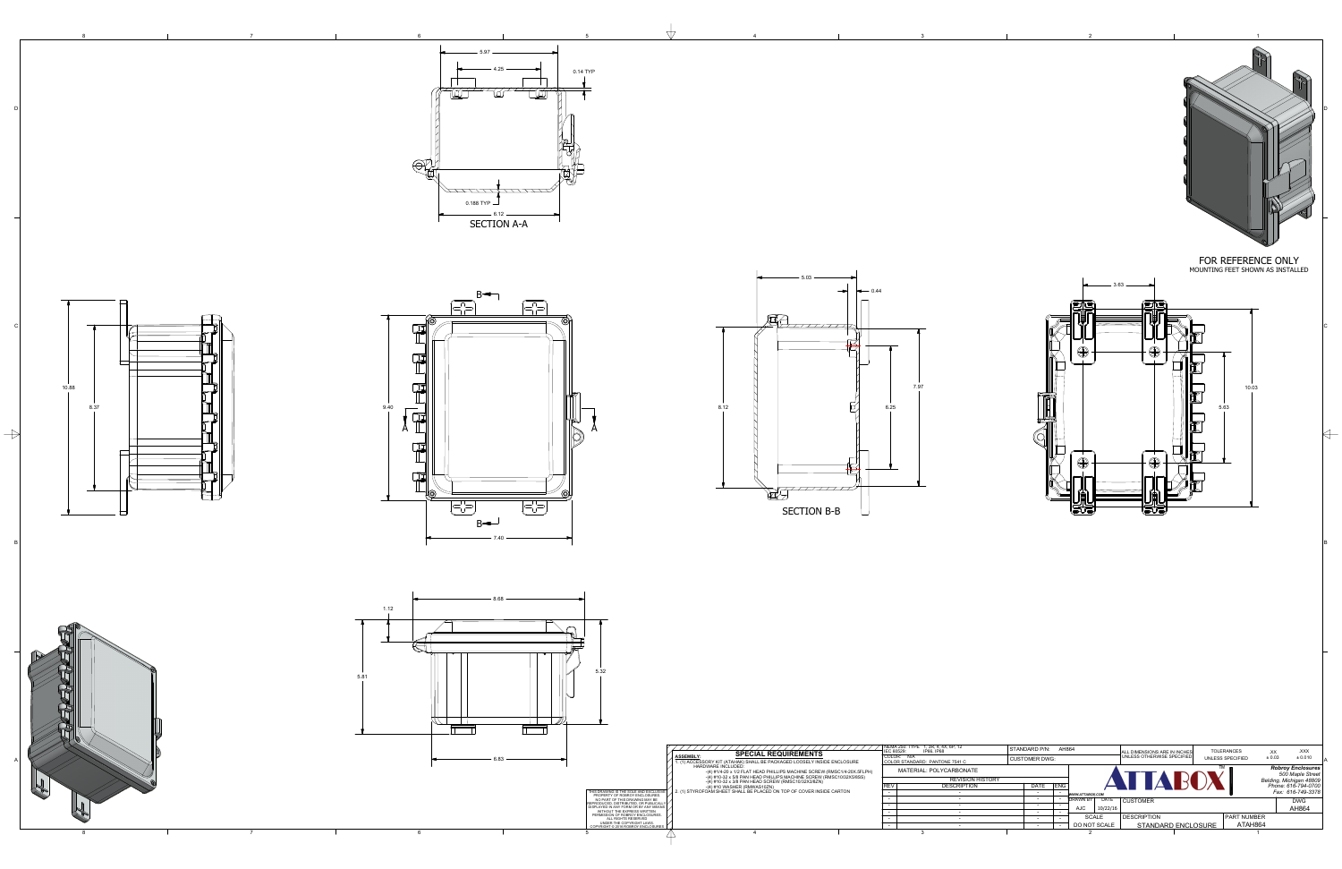

 $8<sup>8</sup>$ 

- 6



 $\Delta$ 



5.32



| THIS DRAWING IS THE SOLE AND EXCLUSIVE<br>PROPERTY OF ROBROY ENCLOSURES.<br>NO PART OF THIS DRAWING MAY BE<br>REPRODUCED, DISTRIBUTED, OR PUBLICALLY<br>DISPLAYED IN ANY FORM OR BY ANY MEANS<br>WITHOUT THE EXPRESS WRITTEN<br>PERMISSION OF ROBROY ENCLOSURES.<br>ALL RIGHTS RESERVED<br>UNDER THE COPYRIGHT LAWS.<br>COPYRIGHT © 2016 ROBROY ENCLOSURES | <b>SPECIAL REQUIREMENTS</b><br><b>ASSEMBLY:</b><br>1. (1) ACCESSORY KIT (ATAHAK) SHALL BE PACKAGED LOOSELY INSIDE ENCLOSURE<br>HARDWARE INCLUDED:<br>$-(4)$ #1/4-20 x 1/2 FLAT HEAD PHILLIPS MACHINE SCREW (RMSC1/4-20X.5FLPH)<br>$-(4)$ #10-32 x 5/8 PAN HEAD PHILLIPS MACHINE SCREW (RMSC10/32X5/8SS)<br>$-(4)$ #10-32 x 3/8 PAN HEAD SCREW (RMSC10/32X3/8ZN)<br>$-(4)$ #10 WASHER (RMWAS10ZN)<br>2. (1) STYROFOAM SHEET SHALL BE PLACED ON TOP OF COVER INSIDE CARTON | IEC 60529:<br><b>REV</b> | NEMA 250: TYPE 1, 3R, 4, 4X, 6P, 12<br>IP66. IP68<br>COLOR: N/A<br>COLOR STANDARD: PANTONE 7541 C<br>MATERIAL: POLYCARBONATE<br><b>REVISION H</b><br><b>DESCRIPTION</b><br>3 |
|------------------------------------------------------------------------------------------------------------------------------------------------------------------------------------------------------------------------------------------------------------------------------------------------------------------------------------------------------------|--------------------------------------------------------------------------------------------------------------------------------------------------------------------------------------------------------------------------------------------------------------------------------------------------------------------------------------------------------------------------------------------------------------------------------------------------------------------------|--------------------------|------------------------------------------------------------------------------------------------------------------------------------------------------------------------------|
| ۰.                                                                                                                                                                                                                                                                                                                                                         |                                                                                                                                                                                                                                                                                                                                                                                                                                                                          |                          |                                                                                                                                                                              |
|                                                                                                                                                                                                                                                                                                                                                            |                                                                                                                                                                                                                                                                                                                                                                                                                                                                          |                          |                                                                                                                                                                              |